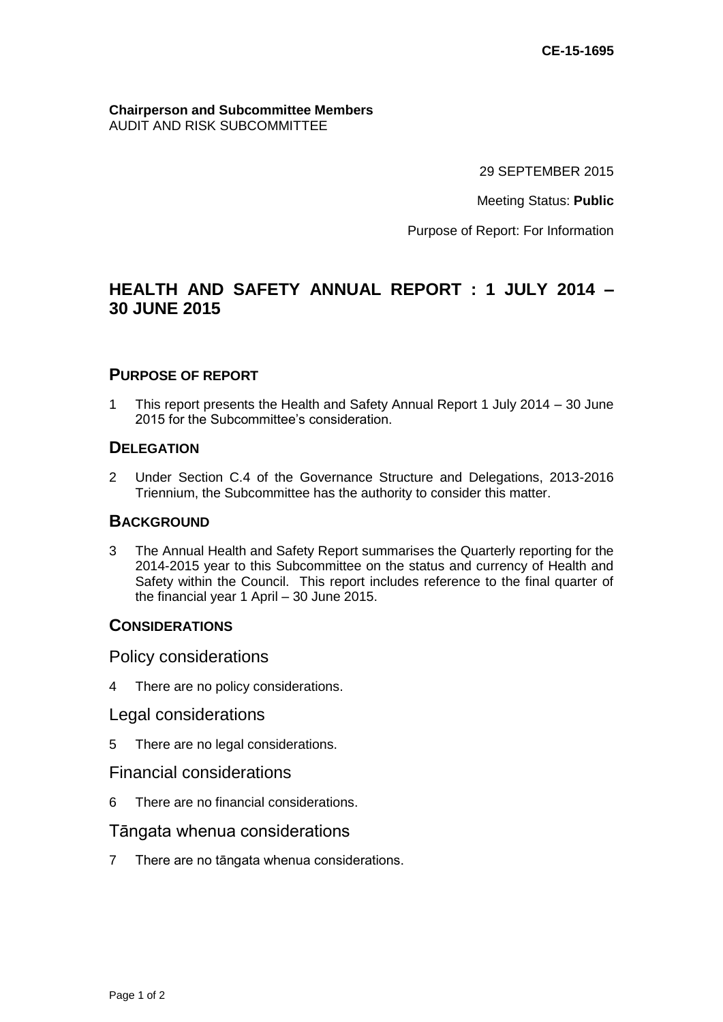#### **Chairperson and Subcommittee Members** AUDIT AND RISK SUBCOMMITTEE

29 SEPTEMBER 2015

Meeting Status: **Public**

Purpose of Report: For Information

# **HEALTH AND SAFETY ANNUAL REPORT : 1 JULY 2014 – 30 JUNE 2015**

## **PURPOSE OF REPORT**

1 This report presents the Health and Safety Annual Report 1 July 2014 – 30 June 2015 for the Subcommittee's consideration.

### **DELEGATION**

2 Under Section C.4 of the Governance Structure and Delegations, 2013-2016 Triennium, the Subcommittee has the authority to consider this matter.

#### **BACKGROUND**

3 The Annual Health and Safety Report summarises the Quarterly reporting for the 2014-2015 year to this Subcommittee on the status and currency of Health and Safety within the Council. This report includes reference to the final quarter of the financial year 1 April – 30 June 2015.

#### **CONSIDERATIONS**

Policy considerations

4 There are no policy considerations.

#### Legal considerations

5 There are no legal considerations.

## Financial considerations

6 There are no financial considerations.

### Tāngata whenua considerations

7 There are no tāngata whenua considerations.